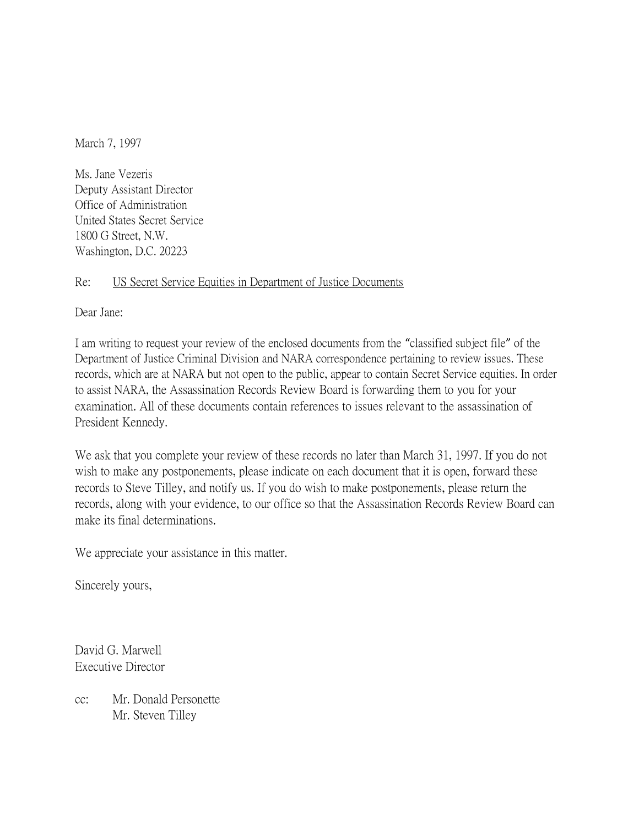March 7, 1997

Ms. Jane Vezeris Deputy Assistant Director Office of Administration United States Secret Service 1800 G Street, N.W. Washington, D.C. 20223

## Re: US Secret Service Equities in Department of Justice Documents

Dear Jane:

I am writing to request your review of the enclosed documents from the "classified subject file" of the Department of Justice Criminal Division and NARA correspondence pertaining to review issues. These records, which are at NARA but not open to the public, appear to contain Secret Service equities. In order to assist NARA, the Assassination Records Review Board is forwarding them to you for your examination. All of these documents contain references to issues relevant to the assassination of President Kennedy.

We ask that you complete your review of these records no later than March 31, 1997. If you do not wish to make any postponements, please indicate on each document that it is open, forward these records to Steve Tilley, and notify us. If you do wish to make postponements, please return the records, along with your evidence, to our office so that the Assassination Records Review Board can make its final determinations.

We appreciate your assistance in this matter.

Sincerely yours,

David G. Marwell Executive Director

cc: Mr. Donald Personette Mr. Steven Tilley